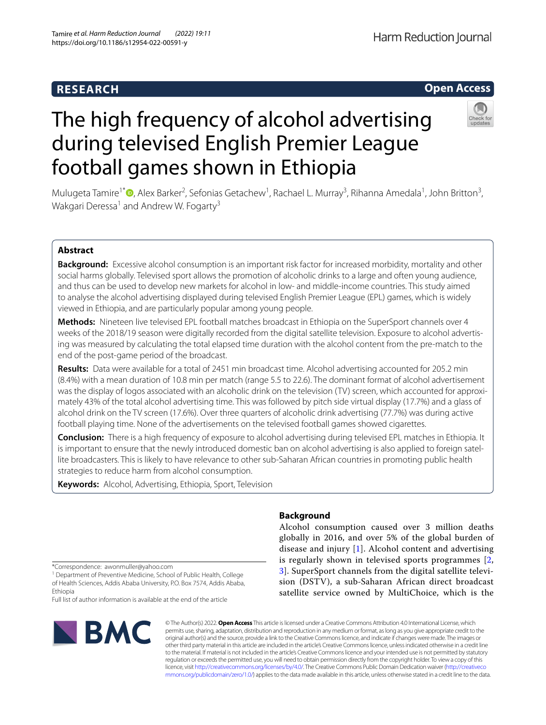# **RESEARCH**

# **Open Access**

# during televised English Premier League football games shown in Ethiopia

The high frequency of alcohol advertising

Mulugeta Tamire<sup>1\*</sup> <sup>®</sup>[,](http://orcid.org/0000-0002-1368-0557) Alex Barker<sup>2</sup>, Sefonias Getachew<sup>1</sup>, Rachael L. Murray<sup>3</sup>, Rihanna Amedala<sup>1</sup>, John Britton<sup>3</sup>, Wakgari Deressa<sup>1</sup> and Andrew W. Fogarty<sup>3</sup>

# **Abstract**

**Background:** Excessive alcohol consumption is an important risk factor for increased morbidity, mortality and other social harms globally. Televised sport allows the promotion of alcoholic drinks to a large and often young audience, and thus can be used to develop new markets for alcohol in low- and middle-income countries. This study aimed to analyse the alcohol advertising displayed during televised English Premier League (EPL) games, which is widely viewed in Ethiopia, and are particularly popular among young people.

**Methods:** Nineteen live televised EPL football matches broadcast in Ethiopia on the SuperSport channels over 4 weeks of the 2018/19 season were digitally recorded from the digital satellite television. Exposure to alcohol advertising was measured by calculating the total elapsed time duration with the alcohol content from the pre-match to the end of the post-game period of the broadcast.

**Results:** Data were available for a total of 2451 min broadcast time. Alcohol advertising accounted for 205.2 min (8.4%) with a mean duration of 10.8 min per match (range 5.5 to 22.6). The dominant format of alcohol advertisement was the display of logos associated with an alcoholic drink on the television (TV) screen, which accounted for approximately 43% of the total alcohol advertising time. This was followed by pitch side virtual display (17.7%) and a glass of alcohol drink on the TV screen (17.6%). Over three quarters of alcoholic drink advertising (77.7%) was during active football playing time. None of the advertisements on the televised football games showed cigarettes.

**Conclusion:** There is a high frequency of exposure to alcohol advertising during televised EPL matches in Ethiopia. It is important to ensure that the newly introduced domestic ban on alcohol advertising is also applied to foreign satellite broadcasters. This is likely to have relevance to other sub-Saharan African countries in promoting public health strategies to reduce harm from alcohol consumption.

**Keywords:** Alcohol, Advertising, Ethiopia, Sport, Television

\*Correspondence: awonmuller@yahoo.com

<sup>1</sup> Department of Preventive Medicine, School of Public Health, College of Health Sciences, Addis Ababa University, P.O. Box 7574, Addis Ababa, Ethiopia

Full list of author information is available at the end of the article



# **Background**

Alcohol consumption caused over 3 million deaths globally in 2016, and over 5% of the global burden of disease and injury [\[1](#page-6-0)]. Alcohol content and advertising is regularly shown in televised sports programmes [\[2](#page-6-1), [3\]](#page-6-2). SuperSport channels from the digital satellite television (DSTV), a sub-Saharan African direct broadcast satellite service owned by MultiChoice, which is the

© The Author(s) 2022. **Open Access** This article is licensed under a Creative Commons Attribution 4.0 International License, which permits use, sharing, adaptation, distribution and reproduction in any medium or format, as long as you give appropriate credit to the original author(s) and the source, provide a link to the Creative Commons licence, and indicate if changes were made. The images or other third party material in this article are included in the article's Creative Commons licence, unless indicated otherwise in a credit line to the material. If material is not included in the article's Creative Commons licence and your intended use is not permitted by statutory regulation or exceeds the permitted use, you will need to obtain permission directly from the copyright holder. To view a copy of this licence, visit [http://creativecommons.org/licenses/by/4.0/.](http://creativecommons.org/licenses/by/4.0/) The Creative Commons Public Domain Dedication waiver ([http://creativeco](http://creativecommons.org/publicdomain/zero/1.0/) [mmons.org/publicdomain/zero/1.0/](http://creativecommons.org/publicdomain/zero/1.0/)) applies to the data made available in this article, unless otherwise stated in a credit line to the data.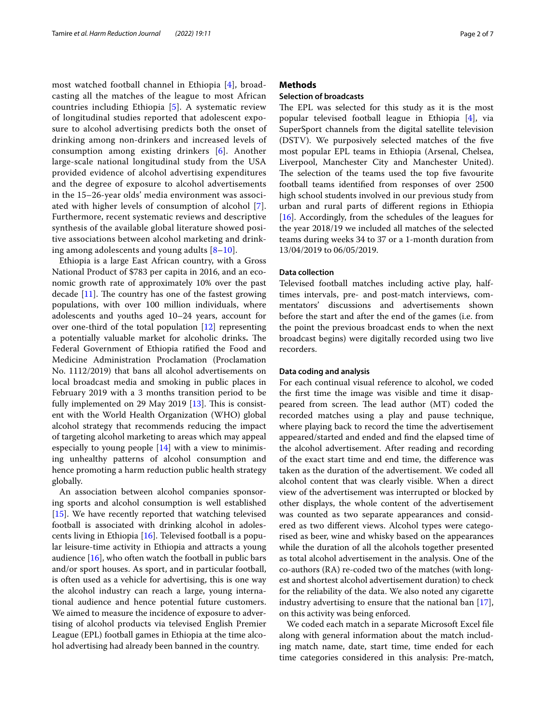most watched football channel in Ethiopia [[4\]](#page-6-3), broadcasting all the matches of the league to most African countries including Ethiopia [[5\]](#page-6-4). A systematic review of longitudinal studies reported that adolescent exposure to alcohol advertising predicts both the onset of drinking among non-drinkers and increased levels of consumption among existing drinkers [[6](#page-6-5)]. Another large-scale national longitudinal study from the USA provided evidence of alcohol advertising expenditures and the degree of exposure to alcohol advertisements in the 15–26-year olds' media environment was associated with higher levels of consumption of alcohol [[7\]](#page-6-6). Furthermore, recent systematic reviews and descriptive synthesis of the available global literature showed positive associations between alcohol marketing and drinking among adolescents and young adults [\[8](#page-6-7)[–10\]](#page-6-8).

Ethiopia is a large East African country, with a Gross National Product of \$783 per capita in 2016, and an economic growth rate of approximately 10% over the past decade  $[11]$  $[11]$ . The country has one of the fastest growing populations, with over 100 million individuals, where adolescents and youths aged 10–24 years, account for over one-third of the total population [[12](#page-6-10)] representing a potentially valuable market for alcoholic drinks. The Federal Government of Ethiopia ratifed the Food and Medicine Administration Proclamation (Proclamation No. 1112/2019) that bans all alcohol advertisements on local broadcast media and smoking in public places in February 2019 with a 3 months transition period to be fully implemented on 29 May 2019  $[13]$  $[13]$ . This is consistent with the World Health Organization (WHO) global alcohol strategy that recommends reducing the impact of targeting alcohol marketing to areas which may appeal especially to young people [[14](#page-6-12)] with a view to minimising unhealthy patterns of alcohol consumption and hence promoting a harm reduction public health strategy globally.

An association between alcohol companies sponsoring sports and alcohol consumption is well established [[15\]](#page-6-13). We have recently reported that watching televised football is associated with drinking alcohol in adolescents living in Ethiopia [[16\]](#page-6-14). Televised football is a popular leisure-time activity in Ethiopia and attracts a young audience  $[16]$  $[16]$  $[16]$ , who often watch the football in public bars and/or sport houses. As sport, and in particular football, is often used as a vehicle for advertising, this is one way the alcohol industry can reach a large, young international audience and hence potential future customers. We aimed to measure the incidence of exposure to advertising of alcohol products via televised English Premier League (EPL) football games in Ethiopia at the time alcohol advertising had already been banned in the country.

# **Methods**

# **Selection of broadcasts**

The EPL was selected for this study as it is the most popular televised football league in Ethiopia [[4](#page-6-3)], via SuperSport channels from the digital satellite television (DSTV). We purposively selected matches of the fve most popular EPL teams in Ethiopia (Arsenal, Chelsea, Liverpool, Manchester City and Manchester United). The selection of the teams used the top five favourite football teams identifed from responses of over 2500 high school students involved in our previous study from urban and rural parts of diferent regions in Ethiopia [[16\]](#page-6-14). Accordingly, from the schedules of the leagues for the year 2018/19 we included all matches of the selected teams during weeks 34 to 37 or a 1-month duration from 13/04/2019 to 06/05/2019.

# **Data collection**

Televised football matches including active play, halftimes intervals, pre- and post-match interviews, commentators' discussions and advertisements shown before the start and after the end of the games (i.e. from the point the previous broadcast ends to when the next broadcast begins) were digitally recorded using two live recorders.

# **Data coding and analysis**

For each continual visual reference to alcohol, we coded the frst time the image was visible and time it disappeared from screen. The lead author  $(MT)$  coded the recorded matches using a play and pause technique, where playing back to record the time the advertisement appeared/started and ended and fnd the elapsed time of the alcohol advertisement. After reading and recording of the exact start time and end time, the diference was taken as the duration of the advertisement. We coded all alcohol content that was clearly visible. When a direct view of the advertisement was interrupted or blocked by other displays, the whole content of the advertisement was counted as two separate appearances and considered as two diferent views. Alcohol types were categorised as beer, wine and whisky based on the appearances while the duration of all the alcohols together presented as total alcohol advertisement in the analysis. One of the co-authors (RA) re-coded two of the matches (with longest and shortest alcohol advertisement duration) to check for the reliability of the data. We also noted any cigarette industry advertising to ensure that the national ban [\[17](#page-6-15)], on this activity was being enforced.

We coded each match in a separate Microsoft Excel fle along with general information about the match including match name, date, start time, time ended for each time categories considered in this analysis: Pre-match,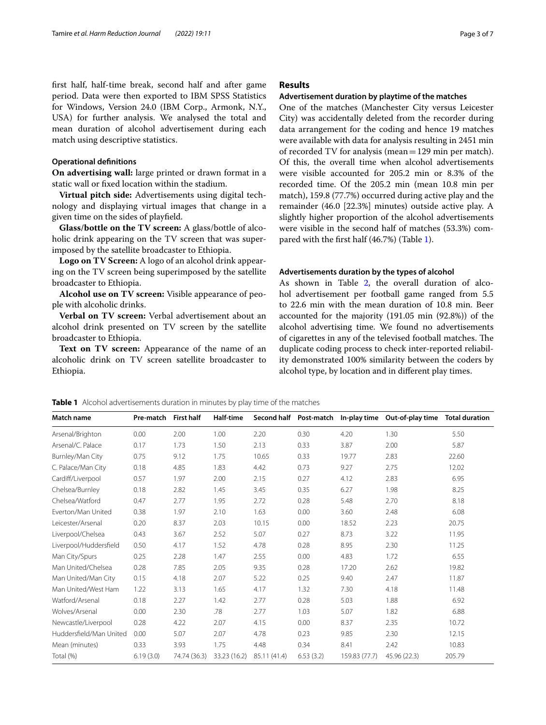frst half, half-time break, second half and after game period. Data were then exported to IBM SPSS Statistics for Windows, Version 24.0 (IBM Corp., Armonk, N.Y., USA) for further analysis. We analysed the total and mean duration of alcohol advertisement during each match using descriptive statistics.

# **Operational defnitions**

**On advertising wall:** large printed or drawn format in a static wall or fxed location within the stadium.

**Virtual pitch side:** Advertisements using digital technology and displaying virtual images that change in a given time on the sides of playfeld.

**Glass/bottle on the TV screen:** A glass/bottle of alcoholic drink appearing on the TV screen that was superimposed by the satellite broadcaster to Ethiopia.

**Logo on TV Screen:** A logo of an alcohol drink appearing on the TV screen being superimposed by the satellite broadcaster to Ethiopia.

**Alcohol use on TV screen:** Visible appearance of people with alcoholic drinks.

**Verbal on TV screen:** Verbal advertisement about an alcohol drink presented on TV screen by the satellite broadcaster to Ethiopia.

**Text on TV screen:** Appearance of the name of an alcoholic drink on TV screen satellite broadcaster to Ethiopia.

# **Results**

# **Advertisement duration by playtime of the matches**

One of the matches (Manchester City versus Leicester City) was accidentally deleted from the recorder during data arrangement for the coding and hence 19 matches were available with data for analysis resulting in 2451 min of recorded TV for analysis (mean=129 min per match). Of this, the overall time when alcohol advertisements were visible accounted for 205.2 min or 8.3% of the recorded time. Of the 205.2 min (mean 10.8 min per match), 159.8 (77.7%) occurred during active play and the remainder (46.0 [22.3%] minutes) outside active play. A slightly higher proportion of the alcohol advertisements were visible in the second half of matches (53.3%) compared with the frst half (46.7%) (Table [1\)](#page-2-0).

# **Advertisements duration by the types of alcohol**

As shown in Table [2,](#page-3-0) the overall duration of alcohol advertisement per football game ranged from 5.5 to 22.6 min with the mean duration of 10.8 min. Beer accounted for the majority (191.05 min (92.8%)) of the alcohol advertising time. We found no advertisements of cigarettes in any of the televised football matches. The duplicate coding process to check inter-reported reliability demonstrated 100% similarity between the coders by alcohol type, by location and in diferent play times.

<span id="page-2-0"></span>

| <b>Match name</b>       | Pre-match | <b>First half</b> | Half-time    |              |           | Second half Post-match In-play time | Out-of-play time | <b>Total duration</b> |
|-------------------------|-----------|-------------------|--------------|--------------|-----------|-------------------------------------|------------------|-----------------------|
| Arsenal/Brighton        | 0.00      | 2.00              | 1.00         | 2.20         | 0.30      | 4.20                                | 1.30             | 5.50                  |
| Arsenal/C. Palace       | 0.17      | 1.73              | 1.50         | 2.13         | 0.33      | 3.87                                | 2.00             | 5.87                  |
| Burnley/Man City        | 0.75      | 9.12              | 1.75         | 10.65        | 0.33      | 19.77                               | 2.83             | 22.60                 |
| C. Palace/Man City      | 0.18      | 4.85              | 1.83         | 4.42         | 0.73      | 9.27                                | 2.75             | 12.02                 |
| Cardiff/Liverpool       | 0.57      | 1.97              | 2.00         | 2.15         | 0.27      | 4.12                                | 2.83             | 6.95                  |
| Chelsea/Burnley         | 0.18      | 2.82              | 1.45         | 3.45         | 0.35      | 6.27                                | 1.98             | 8.25                  |
| Chelsea/Watford         | 0.47      | 2.77              | 1.95         | 2.72         | 0.28      | 5.48                                | 2.70             | 8.18                  |
| Everton/Man United      | 0.38      | 1.97              | 2.10         | 1.63         | 0.00      | 3.60                                | 2.48             | 6.08                  |
| Leicester/Arsenal       | 0.20      | 8.37              | 2.03         | 10.15        | 0.00      | 18.52                               | 2.23             | 20.75                 |
| Liverpool/Chelsea       | 0.43      | 3.67              | 2.52         | 5.07         | 0.27      | 8.73                                | 3.22             | 11.95                 |
| Liverpool/Huddersfield  | 0.50      | 4.17              | 1.52         | 4.78         | 0.28      | 8.95                                | 2.30             | 11.25                 |
| Man City/Spurs          | 0.25      | 2.28              | 1.47         | 2.55         | 0.00      | 4.83                                | 1.72             | 6.55                  |
| Man United/Chelsea      | 0.28      | 7.85              | 2.05         | 9.35         | 0.28      | 17.20                               | 2.62             | 19.82                 |
| Man United/Man City     | 0.15      | 4.18              | 2.07         | 5.22         | 0.25      | 9.40                                | 2.47             | 11.87                 |
| Man United/West Ham     | 1.22      | 3.13              | 1.65         | 4.17         | 1.32      | 7.30                                | 4.18             | 11.48                 |
| Watford/Arsenal         | 0.18      | 2.27              | 1.42         | 2.77         | 0.28      | 5.03                                | 1.88             | 6.92                  |
| Wolves/Arsenal          | 0.00      | 2.30              | .78          | 2.77         | 1.03      | 5.07                                | 1.82             | 6.88                  |
| Newcastle/Liverpool     | 0.28      | 4.22              | 2.07         | 4.15         | 0.00      | 8.37                                | 2.35             | 10.72                 |
| Huddersfield/Man United | 0.00      | 5.07              | 2.07         | 4.78         | 0.23      | 9.85                                | 2.30             | 12.15                 |
| Mean (minutes)          | 0.33      | 3.93              | 1.75         | 4.48         | 0.34      | 8.41                                | 2.42             | 10.83                 |
| Total (%)               | 6.19(3.0) | 74.74 (36.3)      | 33.23 (16.2) | 85.11 (41.4) | 6.53(3.2) | 159.83 (77.7)                       | 45.96 (22.3)     | 205.79                |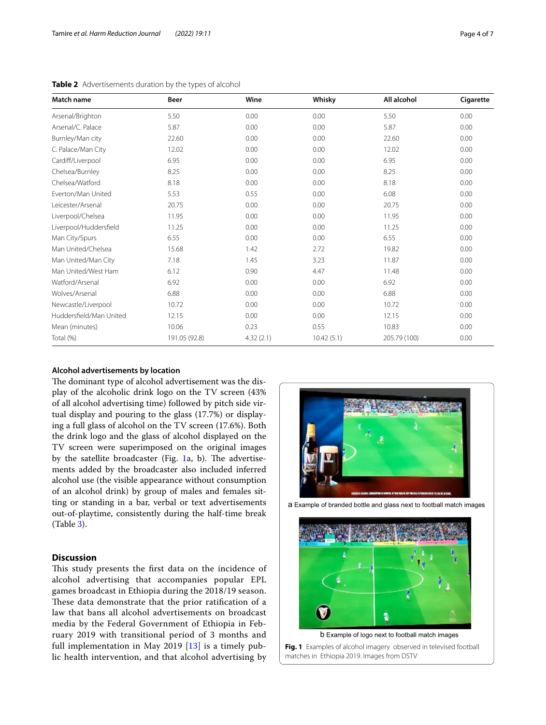| Match name              | Beer          | Wine      | Whisky     | All alcohol  | Cigarette |
|-------------------------|---------------|-----------|------------|--------------|-----------|
| Arsenal/Brighton        | 5.50          | 0.00      | 0.00       | 5.50         | 0.00      |
| Arsenal/C. Palace       | 5.87          | 0.00      | 0.00       | 5.87         | 0.00      |
| Burnley/Man city        | 22.60         | 0.00      | 0.00       | 22.60        | 0.00      |
| C. Palace/Man City      | 12.02         | 0.00      | 0.00       | 12.02        | 0.00      |
| Cardiff/Liverpool       | 6.95          | 0.00      | 0.00       | 6.95         | 0.00      |
| Chelsea/Burnley         | 8.25          | 0.00      | 0.00       | 8.25         | 0.00      |
| Chelsea/Watford         | 8.18          | 0.00      | 0.00       | 8.18         | 0.00      |
| Everton/Man United      | 5.53          | 0.55      | 0.00       | 6.08         | 0.00      |
| Leicester/Arsenal       | 20.75         | 0.00      | 0.00       | 20.75        | 0.00      |
| Liverpool/Chelsea       | 11.95         | 0.00      | 0.00       | 11.95        | 0.00      |
| Liverpool/Huddersfield  | 11.25         | 0.00      | 0.00       | 11.25        | 0.00      |
| Man City/Spurs          | 6.55          | 0.00      | 0.00       | 6.55         | 0.00      |
| Man United/Chelsea      | 15.68         | 1.42      | 2.72       | 19.82        | 0.00      |
| Man United/Man City     | 7.18          | 1.45      | 3.23       | 11.87        | 0.00      |
| Man United/West Ham     | 6.12          | 0.90      | 4.47       | 11.48        | 0.00      |
| Watford/Arsenal         | 6.92          | 0.00      | 0.00       | 6.92         | 0.00      |
| Wolves/Arsenal          | 6.88          | 0.00      | 0.00       | 6.88         | 0.00      |
| Newcastle/Liverpool     | 10.72         | 0.00      | 0.00       | 10.72        | 0.00      |
| Huddersfield/Man United | 12.15         | 0.00      | 0.00       | 12.15        | 0.00      |
| Mean (minutes)          | 10.06         | 0.23      | 0.55       | 10.83        | 0.00      |
| Total (%)               | 191.05 (92.8) | 4.32(2.1) | 10.42(5.1) | 205.79 (100) | 0.00      |

<span id="page-3-0"></span>**Table 2** Advertisements duration by the types of alcohol

# **Alcohol advertisements by location**

The dominant type of alcohol advertisement was the display of the alcoholic drink logo on the TV screen (43% of all alcohol advertising time) followed by pitch side virtual display and pouring to the glass (17.7%) or displaying a full glass of alcohol on the TV screen (17.6%). Both the drink logo and the glass of alcohol displayed on the TV screen were superimposed on the original images by the satellite broadcaster (Fig.  $1a$ , b). The advertisements added by the broadcaster also included inferred alcohol use (the visible appearance without consumption of an alcohol drink) by group of males and females sitting or standing in a bar, verbal or text advertisements out-of-playtime, consistently during the half-time break (Table [3](#page-4-0)).

# **Discussion**

This study presents the first data on the incidence of alcohol advertising that accompanies popular EPL games broadcast in Ethiopia during the 2018/19 season. These data demonstrate that the prior ratification of a law that bans all alcohol advertisements on broadcast media by the Federal Government of Ethiopia in February 2019 with transitional period of 3 months and full implementation in May 2019 [[13\]](#page-6-11) is a timely public health intervention, and that alcohol advertising by





<span id="page-3-1"></span>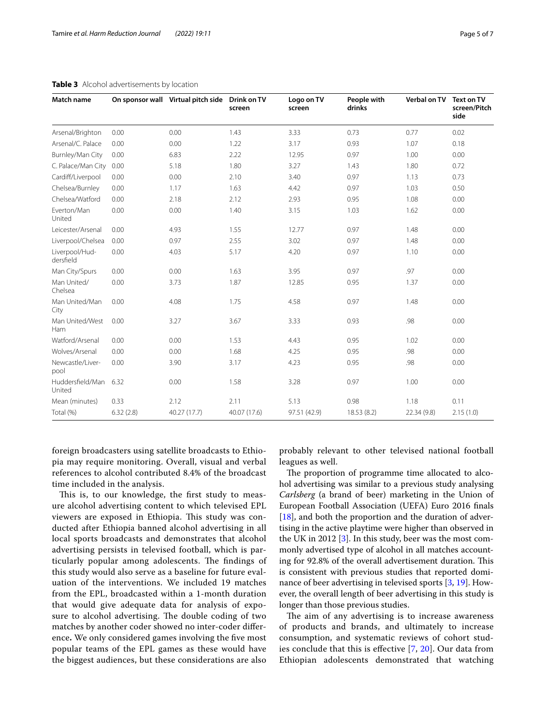| Match name                  |           | On sponsor wall Virtual pitch side Drink on TV | screen       | Logo on TV<br>screen | People with<br>drinks | Verbal on TV | <b>Text on TV</b><br>screen/Pitch<br>side |
|-----------------------------|-----------|------------------------------------------------|--------------|----------------------|-----------------------|--------------|-------------------------------------------|
| Arsenal/Brighton            | 0.00      | 0.00                                           | 1.43         | 3.33                 | 0.73                  | 0.77         | 0.02                                      |
| Arsenal/C. Palace           | 0.00      | 0.00                                           | 1.22         | 3.17                 | 0.93                  | 1.07         | 0.18                                      |
| Burnley/Man City            | 0.00      | 6.83                                           | 2.22         | 12.95                | 0.97                  | 1.00         | 0.00                                      |
| C. Palace/Man City          | 0.00      | 5.18                                           | 1.80         | 3.27                 | 1.43                  | 1.80         | 0.72                                      |
| Cardiff/Liverpool           | 0.00      | 0.00                                           | 2.10         | 3.40                 | 0.97                  | 1.13         | 0.73                                      |
| Chelsea/Burnley             | 0.00      | 1.17                                           | 1.63         | 4.42                 | 0.97                  | 1.03         | 0.50                                      |
| Chelsea/Watford             | 0.00      | 2.18                                           | 2.12         | 2.93                 | 0.95                  | 1.08         | 0.00                                      |
| Everton/Man<br>United       | 0.00      | 0.00                                           | 1.40         | 3.15                 | 1.03                  | 1.62         | 0.00                                      |
| Leicester/Arsenal           | 0.00      | 4.93                                           | 1.55         | 12.77                | 0.97                  | 1.48         | 0.00                                      |
| Liverpool/Chelsea           | 0.00      | 0.97                                           | 2.55         | 3.02                 | 0.97                  | 1.48         | 0.00                                      |
| Liverpool/Hud-<br>dersfield | 0.00      | 4.03                                           | 5.17         | 4.20                 | 0.97                  | 1.10         | 0.00                                      |
| Man City/Spurs              | 0.00      | 0.00                                           | 1.63         | 3.95                 | 0.97                  | .97          | 0.00                                      |
| Man United/<br>Chelsea      | 0.00      | 3.73                                           | 1.87         | 12.85                | 0.95                  | 1.37         | 0.00                                      |
| Man United/Man<br>City      | 0.00      | 4.08                                           | 1.75         | 4.58                 | 0.97                  | 1.48         | 0.00                                      |
| Man United/West<br>Ham      | 0.00      | 3.27                                           | 3.67         | 3.33                 | 0.93                  | .98          | 0.00                                      |
| Watford/Arsenal             | 0.00      | 0.00                                           | 1.53         | 4.43                 | 0.95                  | 1.02         | 0.00                                      |
| Wolves/Arsenal              | 0.00      | 0.00                                           | 1.68         | 4.25                 | 0.95                  | .98          | 0.00                                      |
| Newcastle/Liver-<br>pool    | 0.00      | 3.90                                           | 3.17         | 4.23                 | 0.95                  | .98          | 0.00                                      |
| Huddersfield/Man<br>United  | 6.32      | 0.00                                           | 1.58         | 3.28                 | 0.97                  | 1.00         | 0.00                                      |
| Mean (minutes)              | 0.33      | 2.12                                           | 2.11         | 5.13                 | 0.98                  | 1.18         | 0.11                                      |
| Total (%)                   | 6.32(2.8) | 40.27 (17.7)                                   | 40.07 (17.6) | 97.51 (42.9)         | 18.53 (8.2)           | 22.34 (9.8)  | 2.15(1.0)                                 |

# <span id="page-4-0"></span>**Table 3** Alcohol advertisements by location

foreign broadcasters using satellite broadcasts to Ethiopia may require monitoring. Overall, visual and verbal references to alcohol contributed 8.4% of the broadcast time included in the analysis.

This is, to our knowledge, the first study to measure alcohol advertising content to which televised EPL viewers are exposed in Ethiopia. This study was conducted after Ethiopia banned alcohol advertising in all local sports broadcasts and demonstrates that alcohol advertising persists in televised football, which is particularly popular among adolescents. The findings of this study would also serve as a baseline for future evaluation of the interventions. We included 19 matches from the EPL, broadcasted within a 1-month duration that would give adequate data for analysis of exposure to alcohol advertising. The double coding of two matches by another coder showed no inter-coder diference**.** We only considered games involving the fve most popular teams of the EPL games as these would have the biggest audiences, but these considerations are also

probably relevant to other televised national football leagues as well.

The proportion of programme time allocated to alcohol advertising was similar to a previous study analysing *Carlsberg* (a brand of beer) marketing in the Union of European Football Association (UEFA) Euro 2016 fnals [[18\]](#page-6-16), and both the proportion and the duration of advertising in the active playtime were higher than observed in the UK in 2012 [\[3](#page-6-2)]. In this study, beer was the most commonly advertised type of alcohol in all matches accounting for 92.8% of the overall advertisement duration. This is consistent with previous studies that reported dominance of beer advertising in televised sports [\[3](#page-6-2), [19\]](#page-6-17). However, the overall length of beer advertising in this study is longer than those previous studies.

The aim of any advertising is to increase awareness of products and brands, and ultimately to increase consumption, and systematic reviews of cohort studies conclude that this is efective [\[7](#page-6-6), [20\]](#page-6-18). Our data from Ethiopian adolescents demonstrated that watching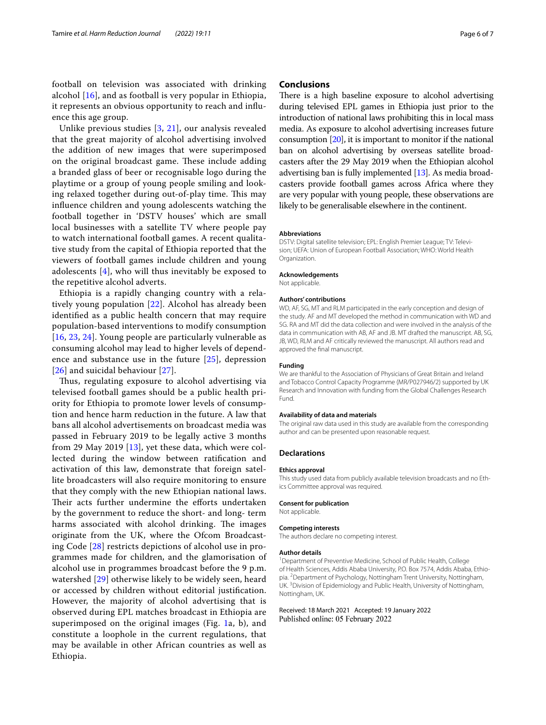football on television was associated with drinking alcohol [\[16](#page-6-14)], and as football is very popular in Ethiopia, it represents an obvious opportunity to reach and infuence this age group.

Unlike previous studies [\[3,](#page-6-2) [21](#page-6-19)], our analysis revealed that the great majority of alcohol advertising involved the addition of new images that were superimposed on the original broadcast game. These include adding a branded glass of beer or recognisable logo during the playtime or a group of young people smiling and looking relaxed together during out-of-play time. This may infuence children and young adolescents watching the football together in 'DSTV houses' which are small local businesses with a satellite TV where people pay to watch international football games. A recent qualitative study from the capital of Ethiopia reported that the viewers of football games include children and young adolescents [[4\]](#page-6-3), who will thus inevitably be exposed to the repetitive alcohol adverts.

Ethiopia is a rapidly changing country with a relatively young population [[22](#page-6-20)]. Alcohol has already been identifed as a public health concern that may require population-based interventions to modify consumption [[16](#page-6-14), [23](#page-6-21), [24](#page-6-22)]. Young people are particularly vulnerable as consuming alcohol may lead to higher levels of dependence and substance use in the future [\[25\]](#page-6-23), depression [[26](#page-6-24)] and suicidal behaviour [[27\]](#page-6-25).

Thus, regulating exposure to alcohol advertising via televised football games should be a public health priority for Ethiopia to promote lower levels of consumption and hence harm reduction in the future. A law that bans all alcohol advertisements on broadcast media was passed in February 2019 to be legally active 3 months from 29 May 2019 [[13\]](#page-6-11), yet these data, which were collected during the window between ratifcation and activation of this law, demonstrate that foreign satellite broadcasters will also require monitoring to ensure that they comply with the new Ethiopian national laws. Their acts further undermine the efforts undertaken by the government to reduce the short- and long- term harms associated with alcohol drinking. The images originate from the UK, where the Ofcom Broadcasting Code [[28\]](#page-6-26) restricts depictions of alcohol use in programmes made for children, and the glamorisation of alcohol use in programmes broadcast before the 9 p.m. watershed [\[29\]](#page-6-27) otherwise likely to be widely seen, heard or accessed by children without editorial justifcation. However, the majority of alcohol advertising that is observed during EPL matches broadcast in Ethiopia are superimposed on the original images (Fig. [1](#page-3-1)a, b), and constitute a loophole in the current regulations, that may be available in other African countries as well as Ethiopia.

# **Conclusions**

There is a high baseline exposure to alcohol advertising during televised EPL games in Ethiopia just prior to the introduction of national laws prohibiting this in local mass media. As exposure to alcohol advertising increases future consumption [[20](#page-6-18)], it is important to monitor if the national ban on alcohol advertising by overseas satellite broadcasters after the 29 May 2019 when the Ethiopian alcohol advertising ban is fully implemented [[13](#page-6-11)]. As media broadcasters provide football games across Africa where they are very popular with young people, these observations are likely to be generalisable elsewhere in the continent.

# **Abbreviations**

DSTV: Digital satellite television; EPL: English Premier League; TV: Television; UEFA: Union of European Football Association; WHO: World Health Organization.

# **Acknowledgements**

Not applicable.

# **Authors' contributions**

WD, AF, SG, MT and RLM participated in the early conception and design of the study. AF and MT developed the method in communication with WD and SG. RA and MT did the data collection and were involved in the analysis of the data in communication with AB, AF and JB. MT drafted the manuscript. AB, SG, JB, WD, RLM and AF critically reviewed the manuscript. All authors read and approved the fnal manuscript.

#### **Funding**

We are thankful to the Association of Physicians of Great Britain and Ireland and Tobacco Control Capacity Programme (MR/P027946/2) supported by UK Research and Innovation with funding from the Global Challenges Research Fund.

### **Availability of data and materials**

The original raw data used in this study are available from the corresponding author and can be presented upon reasonable request.

# **Declarations**

# **Ethics approval**

This study used data from publicly available television broadcasts and no Ethics Committee approval was required.

#### **Consent for publication**

Not applicable.

# **Competing interests**

The authors declare no competing interest.

#### **Author details**

<sup>1</sup> Department of Preventive Medicine, School of Public Health, College of Health Sciences, Addis Ababa University, P.O. Box 7574, Addis Ababa, Ethiopia. <sup>2</sup> Department of Psychology, Nottingham Trent University, Nottingham, UK.<sup>3</sup> Division of Epidemiology and Public Health, University of Nottingham, Nottingham, UK.

Received: 18 March 2021 Accepted: 19 January 2022Published online: 05 February 2022